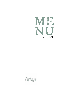

Poo itage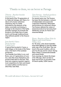## Thanks to them, we eat better at Partage

#### Thierry - Butcher breeder Aveyron (12)

**At the head of the 7th generation of La Table de Solange, with Thierry it is above all a human adventure adventure, that of a family motivated by the pleasure of the table, conviviality and sharing. In homage to the doyenne of the family, grandma Solange, he promotes the products of his family farm of Lariès and its soil through traditional breeding methods specific to the Aveyron region.**

#### Jean Sarthe's farm - Duck breeder Landes  $(40)$

**A typical farm located in Cauna, a small village on the banks of the Adour river, in the heart of the Landaise production.**

**Guy, breeder from father to son, and Bruno, sons of 3 generations of curators, raise their ducks themselves and produce their feed on the farm. They have won numerous awards in agricultural competitions for their work based on animal welfare and the land on which they raise them.**

#### Tom Saveurs - Seafood products Charente-Maritime (17)

**For several years now, Tom Saveurs has been the link between a network of independent and passionate composed of fishermen, fishmongers and producers for restaurant owners. Tom Saveurs defends the values of seasonal products by favouring short distribution circuits, for French and reasoned fishing!**

#### Pierre -Breeder of Porc Noir de Bigorre and cereal farmer Tarbes  $(65)$

**For 40 years, a few dozen breeders have been fighting to save this emblematic pig of the South West. They are bred in the purest tradition, with respect for the pig and for nature. Among them is Pierre, a passionate breeder and cereal farmer.** 

**Every morning, he checks the shape of his 280 pigs, which are fed on grass and acorns, to provide a ham of French quality, 100% Gascon.** 

We could talk about it for hours... but now let's eat!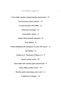Getting an appetite

**Tuna tataki, sesame, smoked paprika mayonnaise - 15**

**Duck foie gras, black cherries - 15**

**Croque monsieur with truffles - 11**

**Dried duck sausage - 13**

**Guacamole, nachos - 8**

**Padrón (fried spanish pappers) - 8**

**Duck rillettes - 8**

**Prawns flambéed with armagnac, sucrine, USA sauce - 15**

**Fish rillettes - 8**

**Oysters by 6 : Marennes d'Oléron n°3 - 9**

**Squid, parsley sauce - 10**

**Fried smelts with roasted garlic mayonnaise - 9**

**Razor shells, parsley sauce - 10**

**Burrata, green asparagus, pea coulis - 13**

**A selection of cheese - 14**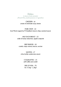## Dishes

A choice of sides included (French Fries, mashed potatoes or vegetables)

> **CHICKEN - 18 cream of artichoke soup, beans**

**PORK CHOP - 22 from Monts Lagast by M. Enjalbert, bacon chips, mustard sauce**

> **HALF DUCK BREAST - 22 cider & honey reduction, apple compote**

**BEEF BURGER - 18 comté, crispy onions, bacon, sucrine**

**SALMON - 17 citrus butter, watercress sauce**

> **COQUILLETTES - 15 with truffle and comté**

**SIDE OF VEAL - 70 for 2 (1kg - 1,2kg)**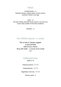## Salads

**CEASAR SALAD - 17 Breaded chicken, romaine salad, croutons, bacon, parmesan cheese, runny egg**

**GOAT - 17 Hot goat cheese salad with honey, mesclun, nuts, pine nuts, bacon chips, pickles of red onions, hazelnuts**

**SEASON - 17**

## For children (menu -12 years)

**Fish or ham or chicken nuggets or ground beef Side of your choice Sirup with water - 1 scoop of ice cream - 12 -**

## Additional sides

**Simple or XL**

**Mashed potatoes - 4 / 7,5**

**Homemade fries - 4 / 7,5**

**Vegetables of the day - 4 / 7,5**

**Mesclun salad - 4**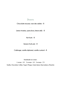## Deserts

**Chocolate mousse, rose des sables - 8**

**Lemon tiramisu, speculoos, lemon jelly - 8**

**Hot fruits - 8**

**Season fruits pie - 8**

**Cabbage, vanilla diplomat, vanilla custard - 8**

**Handmade ice cream :**

**1 scoop - 3,5 2 scoops - 5,5 3 scoops - 7,5**

**Vanilla, Chocolate, Coffee, Yogurt, Mango, Green lemon, Raso=pberry, Pistachio**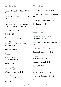## Cold drinks

**Homemade iced tea : (25cl / 1L) - 5 / 14**

**Homemade limonade : (25cl / 1L) - 5 / 14**

**Soda - 5 Coca-Cola, zéro (33 cl), Orangina (25 cL), La French Tonic bio (20 cl)**

**Limonade (33 cl) - 5**

**Diabolo - 5,5**

**Sirup with c ¼ Vittel - 3,5**

**Bio fruit juices (25 cl)- 5 orange, pomme, ananas, abricot, tomate ou ACE**

**Fresh orange juice - 6**

## Water

**Abatilles 75 cl Still or Sparkling - 6**

**Perrier (33 cl) - 4,5**

# Aperitif (4 cL)

**White or red martini 6 cl - 5**

**Ricard 2 cl Pastis bio Egiazki 2 cl - 4**

**Suze 6 cl - 5**

## Hot drinks

**Coffee expresso / Décaféiné - 2,2** 

**Double coffee expresso / Milk coffee - 4,4**

**Cappuccino / Chocolat viennois - 5**

**Hot chocolate - 4,4**

 $Ten - 4$ 

## Beers & ciders

Draft beers - 25 cL / 50 cL **Tigre bock (5,5°) - 4 / 7,5**

**Eguzki, from Basque country (6,7°) - 4,5 / 8,5** 

**Corsican IPA (6°) - 5 / 9,5**

**Colomba Blanche (5°) - 4,5 / 8,5**

Bottles **Bio cider Galipette 33 cl - 7**

**Liefmans fruitesse 25 cl - 6** 

**Corona 33 cl - 6**

**Kir 14 cL / Kir royal 14 cl - 6 / 12**

**Whisky Clan Campbell or J&B - 5**

**Porto - 5**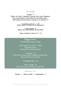## Cocktails

**Classics - 9**

**Mojito, Gin Tonic, Caipirinha, Ti'punch, Pisco Sour, Margarita, Sex on the beach, London Mule, Moscow Mule, Spritz, ... With premium alcohol, Spritz Campari or St-Germain +2**

**Cocktail to share (1 L) - 28 Mojito, Spritz, Gin feez, Sex on the beach**

**Virgin coktails - 8 Mojito, Sex on the beach, London Mule**

**Virgin cocktails to share (1 L) - 24**

## Happy hour !

Everyday from 4 pm to 8 pm

**Draft beers (25 cl / 50 cl) - 3,5/6,5 Tigre bock, Eguzki, Corsican IPA, Colomba blanche**

**Cocktails - 6,5 Mint mojito, Gin Tonic, Spritz, Caipirinha, London Mule, Moscow Mule, Spritz, Ti-punch**

**Champagne glass - 6,5**

**Virgin cocktails - 6,5 Mint mojito, Sex on the beach, London Mule**

## Shooters  $2$  cL

**Tequila - 4 Menta, vodka - 4 Jagermeister - 4**

Alcohol abuse is dangerous for your health. Drink in moderation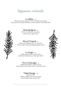# Signature cocktails

## Le Dildot - *12*

Patxaran (plum liqueur from the Basque country), house juice pomegranate/lime, cherry syrup, chocolate bitter



## Dancing Queen - *12*

White wine, aperol, prosecco, peach syrup, egg white

## Mezcal Tropical - *12*

Mezcal, pineapple juice, lemon juice, homemade honey/vanilla/pineapple syrup

## Le Verger - *12*

Vodka, apple juice, lemon juice, rosemary house syrup, rosemary bitter

## Vive La Gascogne - *12*

Laballe Armagnac, apricot juice, homemade cider syrup, lemon, apricot puree

# Virgin Partage - *10* alcohol-free

Ceder's, apple juice, lemon juice, homemade cider syrup, tonic